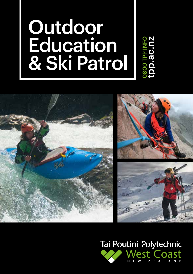# **Outdoor Education** & Ski Patrol



Tai Poutini Polytechnic lest Coa ONEW ZEALA

**D800 TPP INFO**<br>tpp.ac.nz 0800 TPP INFO tpp.ac.nz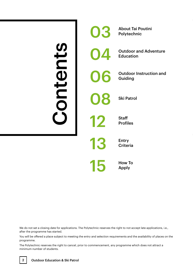# e do not set a closing date for applications.<br>
The content of a closing date for applications.<br>
There the programme has started.<br>
Ogramme.<br>
Thimum number of students.<br>
2<br>
Qutdoor Education & Ski Patrol

03 About Tai Poutini Polytechnic **Outdoor and Adventure** Education **Outdoor Instruction and** Guiding **Ski Patrol 12** Staff<br>Profil Profiles 13 Entry Criteria 15 How To Apply

We do not set a closing date for applications. The Polytechnic reserves the right to not accept late applications, i.e., after the programme has started.

You will be offered a place subject to meeting the entry and selection requirements and the availability of places on the programme.

The Polytechnic reserves the right to cancel, prior to commencement, any programme which does not attract a minimum number of students.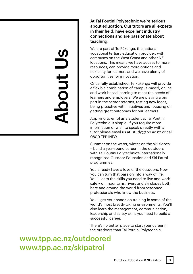# About Us **JDOC**

At Tai Poutini Polytechnic we're serious about education. Our tutors are all experts in their field, have excellent industry connections and are passionate about teaching.

We are part of Te Pūkenga, the national vocational tertiary education provider, with campuses on the West Coast and other NZ locations. This means we have access to more resources, can provide more options and flexibility for learners and we have plenty of opportunities for innovation.

Once fully established, Te Pūkenga will provide a flexible combination of campus-based, online and work-based learning to meet the needs of learners and employers. We are playing a big part in the sector reforms, testing new ideas, being proactive with initiatives and focusing on getting great outcomes for our learners.

Applying to enrol as a student at Tai Poutini Polytechnic is simple. If you require more information or wish to speak directly with a tutor please email us at: study@tpp.ac.nz or call 0800 TPP INFO.

Summer on the water, winter on the ski slopes – build a year-round career in the outdoors with Tai Poutini Polytechnic's internationally recognised Outdoor Education and Ski Patrol programmes.

You already have a love of the outdoors. Now you can turn that passion into a way of life. You'll learn the skills you need to live and work safely on mountains, rivers and ski slopes both here and around the world from seasoned professionals who know the business.

You'll get your hands-on training in some of the world's most breath-taking environments. You'll also learn the management, communication, leadership and safety skills you need to build a successful career.

There's no better place to start your career in the outdoors than Tai Poutini Polytechnic.

www.tpp.ac.nz/outdoored www.tpp.ac.nz/skipatrol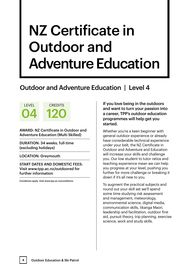# NZ Certificate in Outdoor and Adventure Education

# Outdoor and Adventure Education | Level 4

AWARD: NZ Certificate in Outdoor and Adventure Education (Multi Skilled)

**CREDITS** 

120

DURATION: 34 weeks, full-time (excluding holidays)

LOCATION: Greymouth

LEVEL

04

START DATES AND DOMESTIC FEES: Visit www.tpp.ac.nz/outdoored for further information

Conditions apply. Visit www.tpp.ac.nz/conditions

If you love being in the outdoors and want to turn your passion into a career, TPP's outdoor education programmes will help get you started.

Whether you're a keen beginner with general outdoor experience or already have considerable technical experience under your belt, the NZ Certificate in Outdoor and Adventure and Education will increase your skills and challenge you. Our low student to tutor ratios and teaching experience mean we can help you progress at your level, pushing you further for more challenge or breaking it down if it's all new to you.

To augment the practical subjects and round out your skill set we'll spend some time studying risk assessment and management, meteorology, environmental science, digital media, communication skills, tikanga Maori, leadership and facilitation, outdoor first aid, pursuit theory, trip planning, exercise science, work and study skills.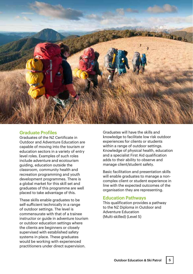

# Graduate Profiles

Graduates of the NZ Certificate in Outdoor and Adventure Education are capable of moving into the tourism or education sectors in a variety of entry level roles. Examples of such roles include adventure and ecotourism guiding, education outside the classroom, community health and recreation programming and youth development programmes. There is a global market for this skill set and graduates of this programme are well placed to take advantage of this.

These skills enable graduates to be self-sufficient technically in a range of outdoor settings. The level is commensurate with that of a trainee instructor or guide in adventure tourism or outdoor education settings where the clients are beginners or closely supervised with established safety systems in place. These graduates would be working with experienced practitioners under direct supervision.

Graduates will have the skills and knowledge to facilitate low risk outdoor experiences for clients or students within a range of outdoor settings. Knowledge of physical health, education and a specialist First Aid qualification adds to their ability to observe and manage client/student safety.

Basic facilitation and presentation skills will enable graduates to manage a noncomplex client or student experience in line with the expected outcomes of the organisation they are representing.

# Education Pathways

This qualification provides a pathway to the NZ Diploma in Outdoor and Adventure Education (Multi-skilled) (Level 5)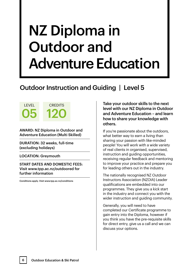# NZ Diploma in Outdoor and Adventure Education

# Outdoor Instruction and Guiding | Level 5

AWARD: NZ Diploma in Outdoor and Adventure Education (Multi Skilled)

**CREDITS** 

120

DURATION: 32 weeks, full-time (excluding holidays)

LOCATION: Greymouth

LEVEL

05

START DATES AND DOMESTIC FEES: Visit www.tpp.ac.nz/outdoored for further information

Conditions apply. Visit www.tpp.ac.nz/conditions

Take your outdoor skills to the next level with our NZ Diploma in Outdoor and Adventure Education – and learn how to share your knowledge with others.

If you're passionate about the outdoors, what better way to earn a living than sharing your passion with like-minded people! You will work with a wide variety of real clients in organised, supervised, instruction and guiding opportunities, receiving regular feedback and mentoring to improve your practice and prepare you for leading others out in the industry.

The nationally recognised NZ Outdoor Instructors Association (NZOIA) Leader qualifications are embedded into our programmes. They give you a kick start in the industry and connect you with the wider instruction and guiding community.

Generally, you will need to have completed our Certificate programme to gain entry into the Diploma, however if you think you have the pre-requisite skills for direct entry, give us a call and we can discuss your options.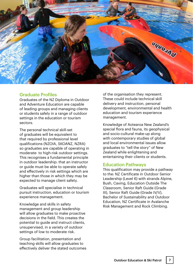

# Graduate Profiles

Graduates of the NZ Diploma in Outdoor and Adventure Education are capable of leading groups and managing clients or students safely in a range of outdoor settings in the education or tourism sectors.

The personal technical skill-set of graduates will be equivalent to that required by professional level qualifications (NZOIA, SKOANZ, NZRA) so graduates are capable of operating in moderate- to high-risk outdoor settings. This recognises a fundamental principle in outdoor leadership: that an instructor or guide must be able to operate safely and effectively in risk settings which are higher than those in which they may be expected to manage client safety.

Graduates will specialise in technical pursuit instruction, education or tourism experience management.

Knowledge and skills in safety management and group leadership will allow graduates to make proactive decisions in the field. This creates the potential to guide and instruct clients, unsupervised, in a variety of outdoor settings of low to moderate risk.

Group facilitation, presentation and teaching skills will allow graduates to effectively deliver the stated outcomes of the organisation they represent. These could include technical skill delivery and instruction, personal development, environmental and health education and tourism experience management.

Knowledge of Aotearoa New Zealand's special flora and fauna, its geophysical and socio-cultural make-up along with contemporary studies of global and local environmental issues allow graduates to "tell the story" of New Zealand while enlightening and entertaining their clients or students.

# Education Pathways

This qualification may provide a pathway to the: NZ Certificate in Outdoor Senior Leadership (Level 6) with strands Alpine, Bush, Caving, Education Outside The Classroom, Senior Raft Guide (Grade III), Senior Raft Guide (Grade IV/V), Bachelor of Sustainability and Outdoor Education, NZ Certificate in Avalanche Risk Management and Rock Climbing.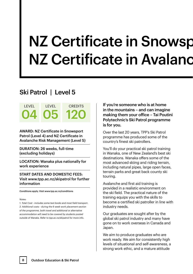# **NZ Certificate in Snowsport NZ Certificate in Avalanc**

# Ski Patrol | Level 5



AWARD: NZ Certificate in Snowsport Patrol (Level 4) and NZ Certificate in Avalanche Risk Management (Level 5)

DURATION: 26 weeks, full-time (excluding holidays)

LOCATION: Wanaka plus nationally for work experience

START DATES AND DOMESTIC FEES: Visit www.tpp.ac.nz/skipatrol for further information

Conditions apply. Visit www.tpp.ac.nz/conditions

### *Notes:*

*1. Total Cost - includes some text books and most field transport. 2. Additional costs - during the 6 week work placement section of the programme, both travel and additional or alternative accommodation will need to be covered by students posted outside of Wanaka. Refer to tpp.ac.nz/skipatrol for more info.*

If you're someone who is at home in the mountains – and can imagine making them your office – Tai Poutini Polytechnic's Ski Patrol programme is for you.

Over the last 20 years, TPP's Ski Patrol programme has produced some of the country's finest ski patrollers.

You'll do your practical ski patrol training in Wanaka, one of New Zealand's best ski destinations. Wanaka offers some of the most advanced skiing and riding terrain, including natural pipes, large open faces. terrain parks and great back county ski touring.

Avalanche and first aid training is provided in a realistic environment on the ski field. The practical nature of the training equips you with the skills to become a certified ski patroller in line with industry needs.

Our graduates are sought after by the global ski patrol industry and many have gone on to work overseas in Canada and Japan.

We aim to produce graduates who are work ready. We aim for consistently high levels of situational and self-awareness, a strong work ethic, and a mature attitude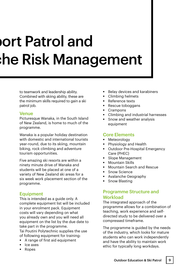# nort Patrol and he Risk Management:

to teamwork and leadership ability. Combined with skiing ability, these are the minimum skills required to gain a ski patrol job.

# Venue

Picturesque Wanaka, in the South Island of New Zealand, is home to much of the programme.

Wanaka is a popular holiday destination with domestic and international tourists year-round, due to its skiing, mountain biking, rock climbing and adventure tourism opportunities.

Five amazing ski resorts are within a ninety minute drive of Wanaka and students will be placed at one of a variety of New Zealand ski areas for a six week work placement section of the programme.

# **Equipment**

This is intended as a guide only. A complete equipment list will be included in your enrolment pack. Equipment costs will vary depending on what you already own and you will need all equipment on the list by the due date to take part in the programme.

Tai Poutini Polytechnic supplies the use of following equipment for training:

- A range of first aid equipment
- $I = Ice$  axes
- Ropes
- Belay devices and karabiners
- Climbing helmets
- Reference texts
- Rescue toboggans
- Crampons
- Climbing and industrial harnesses
- Snow and weather analysis equipment

# Core Elements

- Meteorology
- Physiology and Health
- Outdoor Pre-Hospital Emergency Care (PHEC)
- Slope Management
- Mountain Skills
- Mountain Search and Rescue
- Snow Science
- Avalanche Geography
- **Snow Blasting**

# Programme Structure and **Workload**

The integrated approach of the programme allows for a combination of teaching, work experience and selfdirected study to be delivered over a compressed timeframe.

The programme is guided by the needs of the industry, which looks for mature students who can work independently and have the ability to maintain work ethic for typically long workdays.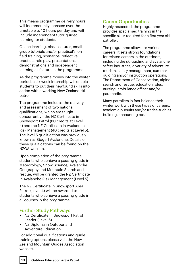This means programme delivery hours will incrementally increase over the timetable to 10 hours per day and will include independent tutor guided learning for students.

Online learning, class lectures, smallgroup tutorials and/or practical's, on field training, scenarios, reflective practice, role play, presentations, demonstrations and independent learning all feature in the programme.

As the programme moves into the winter period, a six week internship will enable students to put their newfound skills into action with a working New Zealand ski patrol.

The programme includes the delivery and assessment of two national qualifications, which are taught concurrently - the NZ Certificate in Snowsport Patrol (80 credits at Level 4) and the NZ Certificate in Avalanche Risk Management (40 credits at Level 5). The level 5 qualification was previously known as Stage 1 Avalanche. Details of these qualifications can be found on the NZQA website.

Upon completion of the programme, students who achieve a passing grade in Meteorology, Snow Science, Avalanche Geography and Mountain Search and rescue, will be granted the NZ Certificate in Avalanche Risk Management (Level 5).

The NZ Certificate in Snowsport Area Patrol (Level 4) will be awarded to students who achieve a passing grade in all courses in the programme.

# Further Study Pathways

- NZ Certificate in Snowsport Patrol Leader (Level 5)
- NZ Diploma in Outdoor and Adventure Education

For additional qualifications and guide training options please visit the New Zealand Mountain Guides Association website.

# Career Opportunities

Highly respected, the programme provides specialised training in the specific skills required for a first year ski patroller.

The programme allows for various careers. It sets strong foundations for related careers in the outdoors, including the ski guiding and avalanche safety industries, a variety of adventure tourism, safety management, summer guiding and/or instruction operations, The Department of Conservation, alpine search and rescue, education roles, nursing, ambulance officer and/or paramedic.

Many patrollers in fact balance their winter work with these types of careers, academic pursuits and/or trades such as building, accounting etc.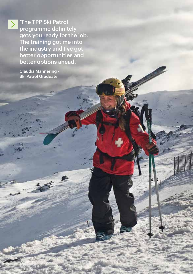'The TPP Ski Patrol programme definitely gets you ready for the job. The training got me into the industry and I've got better opportunities and better options ahead.'

Outdoor Education & Skin Patrol 11

Claudia Mannering - Ski Patrol Graduate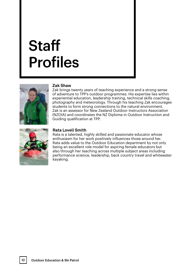# **Staff** Profiles



# **Zak Shaw**

Zak brings twenty years of teaching experience and a strong sense of adventure to TPP's outdoor programmes. His expertise lies within experiential education, leadership training, technical skills coaching, photography and meteorology. Through his teaching Zak encourages students to form strong connections to the natural environment. Zak is an assessor for New Zealand Outdoor Instructors Association (NZOIA) and coordinates the NZ Diploma in Outdoor Instruction and Guiding qualification at TPP.



# **Rata Lovell Smith**

Rata is a talented, highly skilled and passionate educator whose enthusiasm for her work positively influences those around her. Rata adds value to the Outdoor Education department by not only being an excellent role model for aspiring female educators but also through her teaching across multiple subject areas including performance science, leadership, back country travel and whitewater kayaking.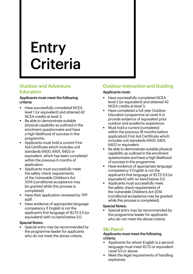# Entry **Criteria**

# Outdoor and Adventure Education

# Applicants must meet the following criteria:

- **Have successfully completed NCEA** level 1 (or equivalent) and attained 42 NCEA credits at level 3.
- Be able to demonstrate suitable physical capability as outlined in the enrolment questionnaire and have a high likelihood of success in this programme.
- **Applicants must hold a current First** Aid Certificate which includes unit standards 6400, 6401, 6402 or equivalent, which has been completed within the previous 6 months of application.
- Applicants must successfully meet the safety check requirements of the Vulnerable Children's Act 2014 (conditional acceptance may be granted while this process is completed).
- Have their application reviewed by TPP staff.
- Have evidence of appropriate language competency if English is not the applicant's first language of IELTS 5.5 (or equivalent) with no band below 5.0.

# Special Notes:

 Special entry may be recommended by the programme leader for applicants who do not meet the above criteria.

# Outdoor Instruction and Guiding

# Applicants must:

- Have successfully completed NCEA level 2 (or equivalent) and attained 42 NCEA credits at level 3.
- **Have completed a full year Outdoor** Education programme at Level 4 or provide evidence of equivalent prior outdoor and academic experience.
- Must hold a current (completed within the previous 18 months before application) First Aid Certificate which includes unit standards 6400, 6401, 6402 or equivalent.
- Be able to demonstrate suitable physical capability as outlined in the enrolment questionnaire and have a high likelihood of success in this programme.
- $\blacksquare$  Have evidence of appropriate language competency if English is not the applicant's first language of IELTS 5.5 (or equivalent) with no band below 5.0.
- Applicants must successfully meet the safety check requirements of the Vulnerable Children's Act 2014 (conditional acceptance may be granted while this process is completed).

# Special Notes:

 Special entry may be recommended by the programme leader for applicants who do not meet the above criteria.

# Ski Patrol

### Applicants must meet the following criteria:

- Applicants for whom English is a second language must meet IELTS or equivalent Level 5.5 or above.
- explosives. • Meet the legal requirements of handling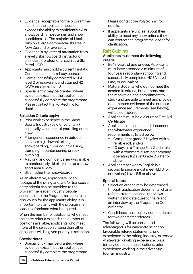- Evidence, acceptable to the programme staff, that the applicant meets or exceeds the ability to confidently ski or snowboard in most terrain and snow conditions. i.e. The majority of black runs on a large commercial ski area in New Zealand or overseas.
- **Evidence is by letter of attestation from** a level 2 skisnowboard instructor or an industry professional such as a Ski Patrol HOD.
- **Applicants must hold a current First Aid** Certificate minimum 1 day course.
- Have successfully completed NCEA level 2 or equivalent and attained 42 NCEA credits at level 3.
- Special entry may be granted where evidence exists that the applicant can successfully complete the programme. Please contact the Polytechnic for details.

### Selection Criteria apply:

- Prior work experience in the Snow Sports Industry (paid or voluntary) especially volunteer ski patrolling or trail crew
- **Prior general experience in outdoor** activities e.g. downhill skiing, snowboarding, cross country skiing, tramping, mountaineering or rock climbing
- A strong and confident skier who is able to continuously ski black runs at a snow sport area all day
- Skier rather than snowboarder

As an alternative, appropriate video footage of the skiing and and/or transceiver entry criteria can be provided to the programme leader. Industry people acceptable to the Programme leader can also vouch for the applicant's ability. It is important to clarify with the programme leader beforehand what is required.

When the number of applicants who meet the entry criteria exceeds the number of positions available, applicants who meet more of the selection criteria than other applicants will be given priority in selection.

### Special Notes:

 Special Entry may be granted where evidence exists that the applicant can successfully complete the programme. Please contact the Polytechnic for details.

 $\blacksquare$  If applicants are unclear about their ability to meet any entry criteria they can contact the programme leader for clarification.

# Raft Guiding

Applicants must meet the following criteria:

- Be 18 years of age or over. Applicants must have attended a minimum of four years secondary schooling and successfully completed NCEA Level One, or equivalent
- Mature students who do not meet the academic criteria, but demonstrate the motivation and commitment to study and are able to meet and provide documented evidence of the outdoor experience requirements (see below), will be considered
- Applicants must hold a current First Aid **Certificate**
- **Applicants must meet and document** the whitewater experience requirements as listed below:
	- Competent grade 2 kayaker with a reliable roll; and/or
	- **10 days in a Trainee Raft Guide role** with a commercial rafting company operating trips on Grade 2 water or above
- **Applicants for whom English is a** second language must meet IELTS (or equivalent) Level 5.5 or above

# Special Notes:

- Selection criteria may be determined through application documents, charter referee statements and interviews, written candidate questionnaire and an interview by the Programme Coordinator
- Candidates must supply contact details for two character referees

The following will be considered advantageous for candidate selection: favourable referee statements, prior experience in the rafting industry, extensive whitewater kayaking experience, prior tertiary education qualifications, prior experience working in the adventure tourism industry.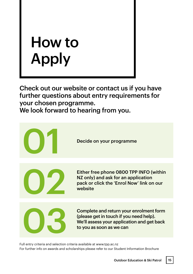# How to Apply

Check out our website or contact us if you have further questions about entry requirements for your chosen programme.

We look forward to hearing from you.



Full entry criteria and selection criteria available at www.tpp.ac.nz For further info on awards and scholarships please refer to our Student Information Brochure